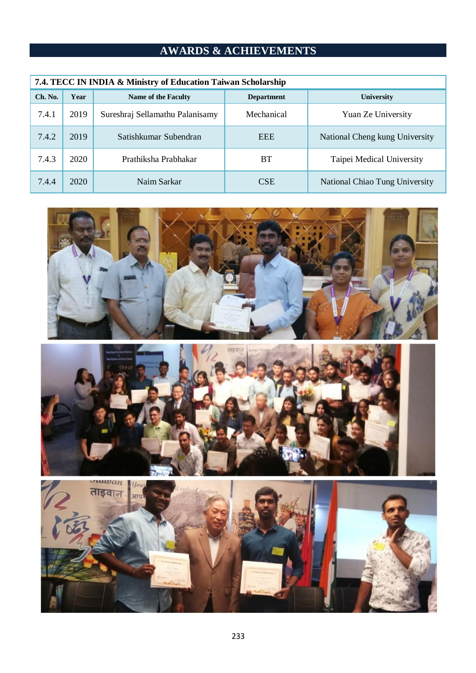## **AWARDS & ACHIEVEMENTS**

| 7.4. TECC IN INDIA & Ministry of Education Taiwan Scholarship |      |                                 |                   |                                |  |  |  |  |
|---------------------------------------------------------------|------|---------------------------------|-------------------|--------------------------------|--|--|--|--|
| Ch. No.                                                       | Year | Name of the Faculty             | <b>Department</b> | University                     |  |  |  |  |
| 7.4.1                                                         | 2019 | Sureshraj Sellamathu Palanisamy | Mechanical        | Yuan Ze University             |  |  |  |  |
| 7.4.2                                                         | 2019 | Satishkumar Subendran           | <b>EEE</b>        | National Cheng kung University |  |  |  |  |
| 7.4.3                                                         | 2020 | Prathiksha Prabhakar            | BT                | Taipei Medical University      |  |  |  |  |
| 7.4.4                                                         | 2020 | Naim Sarkar                     | <b>CSE</b>        | National Chiao Tung University |  |  |  |  |





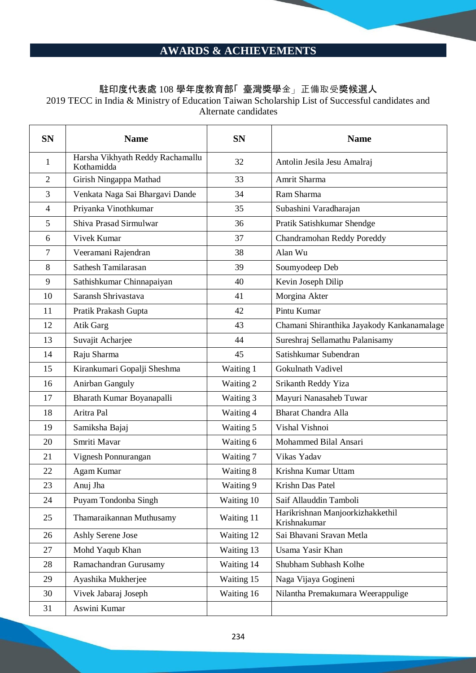## **AWARDS & ACHIEVEMENTS**

## 駐印度代表處 108 學年度教育部「 臺灣獎學金」正備取受獎候選人

2019 TECC in India & Ministry of Education Taiwan Scholarship List of Successful candidates and Alternate candidates

| <b>SN</b>      | <b>Name</b>                                    | <b>SN</b>  | <b>Name</b>                                      |
|----------------|------------------------------------------------|------------|--------------------------------------------------|
| $\mathbf{1}$   | Harsha Vikhyath Reddy Rachamallu<br>Kothamidda | 32         | Antolin Jesila Jesu Amalraj                      |
| $\overline{2}$ | Girish Ningappa Mathad                         | 33         | Amrit Sharma                                     |
| 3              | Venkata Naga Sai Bhargavi Dande                | 34         | Ram Sharma                                       |
| $\overline{4}$ | Priyanka Vinothkumar                           | 35         | Subashini Varadharajan                           |
| 5              | Shiva Prasad Sirmulwar                         | 36         | Pratik Satishkumar Shendge                       |
| 6              | Vivek Kumar                                    | 37         | Chandramohan Reddy Poreddy                       |
| 7              | Veeramani Rajendran                            | 38         | Alan Wu                                          |
| 8              | Sathesh Tamilarasan                            | 39         | Soumyodeep Deb                                   |
| 9              | Sathishkumar Chinnapaiyan                      | 40         | Kevin Joseph Dilip                               |
| 10             | Saransh Shrivastava                            | 41         | Morgina Akter                                    |
| 11             | Pratik Prakash Gupta                           | 42         | Pintu Kumar                                      |
| 12             | Atik Garg                                      | 43         | Chamani Shiranthika Jayakody Kankanamalage       |
| 13             | Suvajit Acharjee                               | 44         | Sureshraj Sellamathu Palanisamy                  |
| 14             | Raju Sharma                                    | 45         | Satishkumar Subendran                            |
| 15             | Kirankumari Gopalji Sheshma                    | Waiting 1  | Gokulnath Vadivel                                |
| 16             | Anirban Ganguly                                | Waiting 2  | Srikanth Reddy Yiza                              |
| 17             | Bharath Kumar Boyanapalli                      | Waiting 3  | Mayuri Nanasaheb Tuwar                           |
| 18             | Aritra Pal                                     | Waiting 4  | <b>Bharat Chandra Alla</b>                       |
| 19             | Samiksha Bajaj                                 | Waiting 5  | Vishal Vishnoi                                   |
| 20             | Smriti Mavar                                   | Waiting 6  | Mohammed Bilal Ansari                            |
| 21             | Vignesh Ponnurangan                            | Waiting 7  | Vikas Yadav                                      |
| 22             | Agam Kumar                                     | Waiting 8  | Krishna Kumar Uttam                              |
| 23             | Anuj Jha                                       | Waiting 9  | Krishn Das Patel                                 |
| 24             | Puyam Tondonba Singh                           | Waiting 10 | Saif Allauddin Tamboli                           |
| 25             | Thamaraikannan Muthusamy                       | Waiting 11 | Harikrishnan Manjoorkizhakkethil<br>Krishnakumar |
| 26             | Ashly Serene Jose                              | Waiting 12 | Sai Bhavani Sravan Metla                         |
| 27             | Mohd Yaqub Khan                                | Waiting 13 | Usama Yasir Khan                                 |
| 28             | Ramachandran Gurusamy                          | Waiting 14 | Shubham Subhash Kolhe                            |
| 29             | Ayashika Mukherjee                             | Waiting 15 | Naga Vijaya Gogineni                             |
| 30             | Vivek Jabaraj Joseph                           | Waiting 16 | Nilantha Premakumara Weerappulige                |
| 31             | Aswini Kumar                                   |            |                                                  |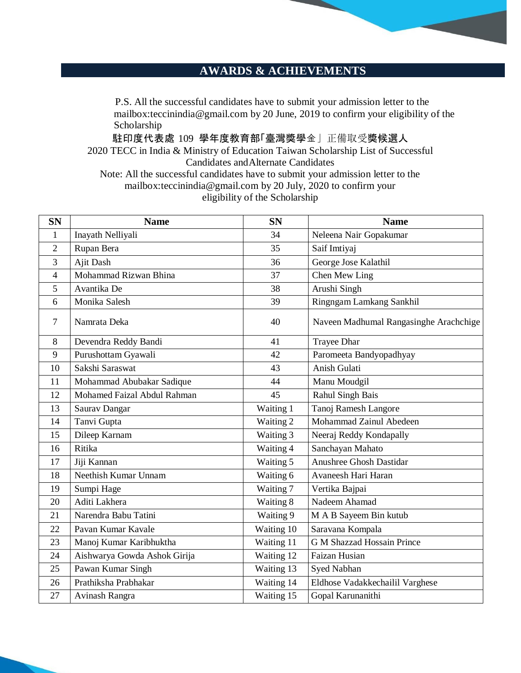## **AWARDS & ACHIEVEMENTS**

P.S. All the successful candidates have to submit your admission letter to the mailbox[:teccinindia@gmail.com](mailto:teccinindia@gmail.com) by 20 June, 2019 to confirm your eligibility of the Scholarship

駐印度代表處 109 學年度教育部「臺灣獎學金」正備取受獎候選人 2020 TECC in India & Ministry of Education Taiwan Scholarship List of Successful Candidates andAlternate Candidates Note: All the successful candidates have to submit your admission letter to the

mailbox[:teccinindia@gmail.com](mailto:teccinindia@gmail.com) by 20 July, 2020 to confirm your eligibility of the Scholarship

| <b>SN</b>      | <b>Name</b>                  | <b>SN</b>  | <b>Name</b>                            |
|----------------|------------------------------|------------|----------------------------------------|
| $\mathbf{1}$   | Inayath Nelliyali            | 34         | Neleena Nair Gopakumar                 |
| 2              | Rupan Bera                   | 35         | Saif Imtiyaj                           |
| 3              | Ajit Dash                    | 36         | George Jose Kalathil                   |
| 4              | Mohammad Rizwan Bhina        | 37         | Chen Mew Ling                          |
| 5              | Avantika De                  | 38         | Arushi Singh                           |
| 6              | Monika Salesh                | 39         | Ringngam Lamkang Sankhil               |
| $\overline{7}$ | Namrata Deka                 | 40         | Naveen Madhumal Rangasinghe Arachchige |
| 8              | Devendra Reddy Bandi         | 41         | Trayee Dhar                            |
| 9              | Purushottam Gyawali          | 42         | Paromeeta Bandyopadhyay                |
| 10             | Sakshi Saraswat              | 43         | Anish Gulati                           |
| 11             | Mohammad Abubakar Sadique    | 44         | Manu Moudgil                           |
| 12             | Mohamed Faizal Abdul Rahman  | 45         | Rahul Singh Bais                       |
| 13             | Saurav Dangar                | Waiting 1  | Tanoj Ramesh Langore                   |
| 14             | Tanvi Gupta                  | Waiting 2  | Mohammad Zainul Abedeen                |
| 15             | Dileep Karnam                | Waiting 3  | Neeraj Reddy Kondapally                |
| 16             | Ritika                       | Waiting 4  | Sanchayan Mahato                       |
| 17             | Jiji Kannan                  | Waiting 5  | Anushree Ghosh Dastidar                |
| 18             | Neethish Kumar Unnam         | Waiting 6  | Avaneesh Hari Haran                    |
| 19             | Sumpi Hage                   | Waiting 7  | Vertika Bajpai                         |
| 20             | Aditi Lakhera                | Waiting 8  | Nadeem Ahamad                          |
| 21             | Narendra Babu Tatini         | Waiting 9  | M A B Sayeem Bin kutub                 |
| 22             | Pavan Kumar Kavale           | Waiting 10 | Saravana Kompala                       |
| 23             | Manoj Kumar Karibhuktha      | Waiting 11 | <b>G M Shazzad Hossain Prince</b>      |
| 24             | Aishwarya Gowda Ashok Girija | Waiting 12 | Faizan Husian                          |
| 25             | Pawan Kumar Singh            | Waiting 13 | Syed Nabhan                            |
| 26             | Prathiksha Prabhakar         | Waiting 14 | Eldhose Vadakkechailil Varghese        |
| 27             | Avinash Rangra               | Waiting 15 | Gopal Karunanithi                      |